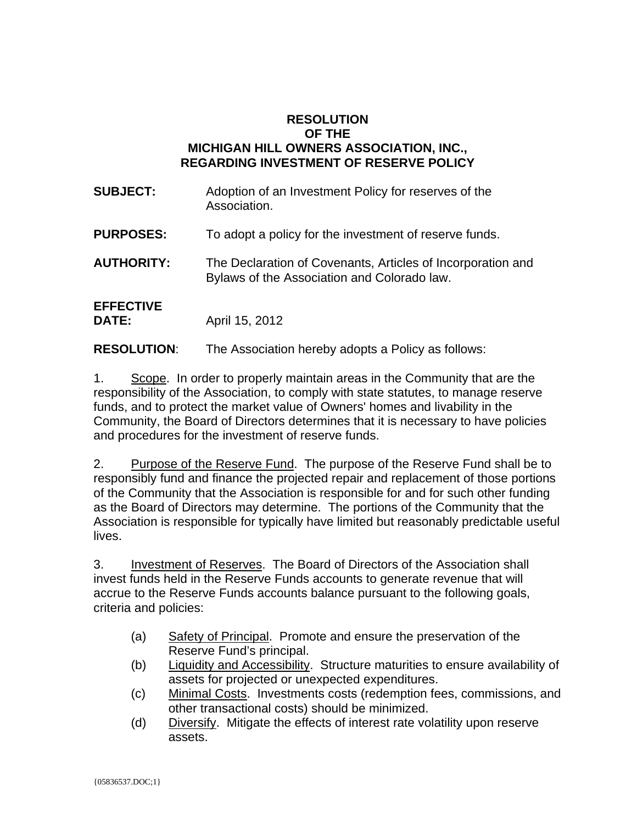## **RESOLUTION OF THE MICHIGAN HILL OWNERS ASSOCIATION, INC., REGARDING INVESTMENT OF RESERVE POLICY**

**SUBJECT:** Adoption of an Investment Policy for reserves of the Association. **PURPOSES:** To adopt a policy for the investment of reserve funds. **AUTHORITY:** The Declaration of Covenants, Articles of Incorporation and Bylaws of the Association and Colorado law. **EFFECTIVE DATE:** April 15, 2012

**RESOLUTION**: The Association hereby adopts a Policy as follows:

1. Scope. In order to properly maintain areas in the Community that are the responsibility of the Association, to comply with state statutes, to manage reserve funds, and to protect the market value of Owners' homes and livability in the Community, the Board of Directors determines that it is necessary to have policies and procedures for the investment of reserve funds.

2. Purpose of the Reserve Fund. The purpose of the Reserve Fund shall be to responsibly fund and finance the projected repair and replacement of those portions of the Community that the Association is responsible for and for such other funding as the Board of Directors may determine. The portions of the Community that the Association is responsible for typically have limited but reasonably predictable useful lives.

3. Investment of Reserves. The Board of Directors of the Association shall invest funds held in the Reserve Funds accounts to generate revenue that will accrue to the Reserve Funds accounts balance pursuant to the following goals, criteria and policies:

- (a) Safety of Principal. Promote and ensure the preservation of the Reserve Fund's principal.
- (b) Liquidity and Accessibility. Structure maturities to ensure availability of assets for projected or unexpected expenditures.
- (c) Minimal Costs. Investments costs (redemption fees, commissions, and other transactional costs) should be minimized.
- (d) Diversify. Mitigate the effects of interest rate volatility upon reserve assets.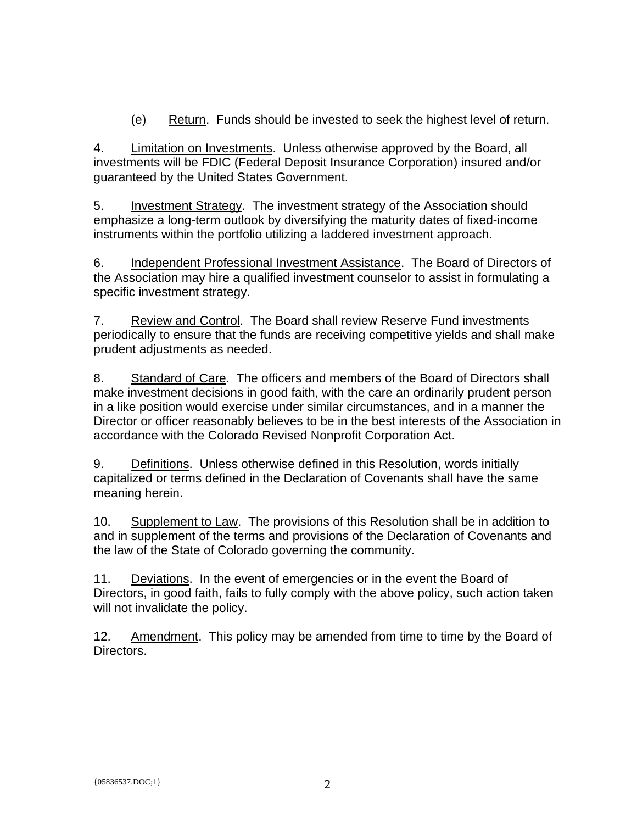(e) Return. Funds should be invested to seek the highest level of return.

4. Limitation on Investments. Unless otherwise approved by the Board, all investments will be FDIC (Federal Deposit Insurance Corporation) insured and/or guaranteed by the United States Government.

5. Investment Strategy. The investment strategy of the Association should emphasize a long-term outlook by diversifying the maturity dates of fixed-income instruments within the portfolio utilizing a laddered investment approach.

6. Independent Professional Investment Assistance. The Board of Directors of the Association may hire a qualified investment counselor to assist in formulating a specific investment strategy.

7. Review and Control. The Board shall review Reserve Fund investments periodically to ensure that the funds are receiving competitive yields and shall make prudent adjustments as needed.

8. Standard of Care. The officers and members of the Board of Directors shall make investment decisions in good faith, with the care an ordinarily prudent person in a like position would exercise under similar circumstances, and in a manner the Director or officer reasonably believes to be in the best interests of the Association in accordance with the Colorado Revised Nonprofit Corporation Act.

9. Definitions. Unless otherwise defined in this Resolution, words initially capitalized or terms defined in the Declaration of Covenants shall have the same meaning herein.

10. Supplement to Law. The provisions of this Resolution shall be in addition to and in supplement of the terms and provisions of the Declaration of Covenants and the law of the State of Colorado governing the community.

11. Deviations. In the event of emergencies or in the event the Board of Directors, in good faith, fails to fully comply with the above policy, such action taken will not invalidate the policy.

12. Amendment. This policy may be amended from time to time by the Board of Directors.